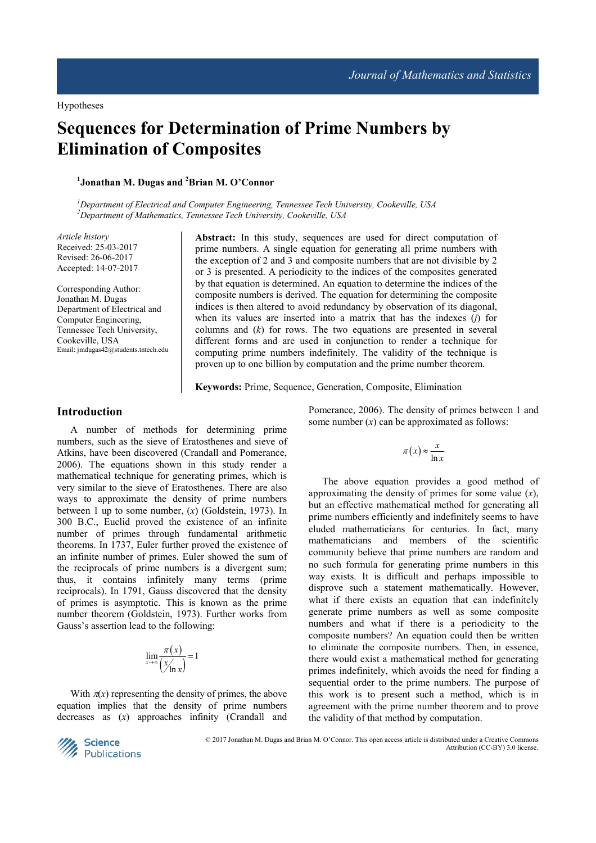# **Sequences for Determination of Prime Numbers by Elimination of Composites**

**1 Jonathan M. Dugas and <sup>2</sup>Brian M. O'Connor** 

*<sup>1</sup>Department of Electrical and Computer Engineering, Tennessee Tech University, Cookeville, USA <sup>2</sup>Department of Mathematics, Tennessee Tech University, Cookeville, USA* 

*Article history*  Received: 25-03-2017 Revised: 26-06-2017 Accepted: 14-07-2017

Corresponding Author: Jonathan M. Dugas Department of Electrical and Computer Engineering, Tennessee Tech University, Cookeville, USA Email: jmdugas42@students.tntech.edu **Abstract:** In this study, sequences are used for direct computation of prime numbers. A single equation for generating all prime numbers with the exception of 2 and 3 and composite numbers that are not divisible by 2 or 3 is presented. A periodicity to the indices of the composites generated by that equation is determined. An equation to determine the indices of the composite numbers is derived. The equation for determining the composite indices is then altered to avoid redundancy by observation of its diagonal, when its values are inserted into a matrix that has the indexes (*j*) for columns and (*k*) for rows. The two equations are presented in several different forms and are used in conjunction to render a technique for computing prime numbers indefinitely. The validity of the technique is proven up to one billion by computation and the prime number theorem.

**Keywords:** Prime, Sequence, Generation, Composite, Elimination

## **Introduction**

A number of methods for determining prime numbers, such as the sieve of Eratosthenes and sieve of Atkins, have been discovered (Crandall and Pomerance, 2006). The equations shown in this study render a mathematical technique for generating primes, which is very similar to the sieve of Eratosthenes. There are also ways to approximate the density of prime numbers between 1 up to some number, (*x*) (Goldstein, 1973). In 300 B.C., Euclid proved the existence of an infinite number of primes through fundamental arithmetic theorems. In 1737, Euler further proved the existence of an infinite number of primes. Euler showed the sum of the reciprocals of prime numbers is a divergent sum; thus, it contains infinitely many terms (prime reciprocals). In 1791, Gauss discovered that the density of primes is asymptotic. This is known as the prime number theorem (Goldstein, 1973). Further works from Gauss's assertion lead to the following:

$$
\lim_{x \to \infty} \frac{\pi(x)}{\left(\frac{x}{\ln x}\right)} = 1
$$

With  $\pi(x)$  representing the density of primes, the above equation implies that the density of prime numbers decreases as (*x*) approaches infinity (Crandall and Pomerance, 2006). The density of primes between 1 and some number (*x*) can be approximated as follows:

$$
\pi(x) \approx \frac{x}{\ln x}
$$

The above equation provides a good method of approximating the density of primes for some value (*x*), but an effective mathematical method for generating all prime numbers efficiently and indefinitely seems to have eluded mathematicians for centuries. In fact, many mathematicians and members of the scientific community believe that prime numbers are random and no such formula for generating prime numbers in this way exists. It is difficult and perhaps impossible to disprove such a statement mathematically. However, what if there exists an equation that can indefinitely generate prime numbers as well as some composite numbers and what if there is a periodicity to the composite numbers? An equation could then be written to eliminate the composite numbers. Then, in essence, there would exist a mathematical method for generating primes indefinitely, which avoids the need for finding a sequential order to the prime numbers. The purpose of this work is to present such a method, which is in agreement with the prime number theorem and to prove the validity of that method by computation.



 © 2017 Jonathan M. Dugas and Brian M. O'Connor. This open access article is distributed under a Creative Commons Attribution (CC-BY) 3.0 license.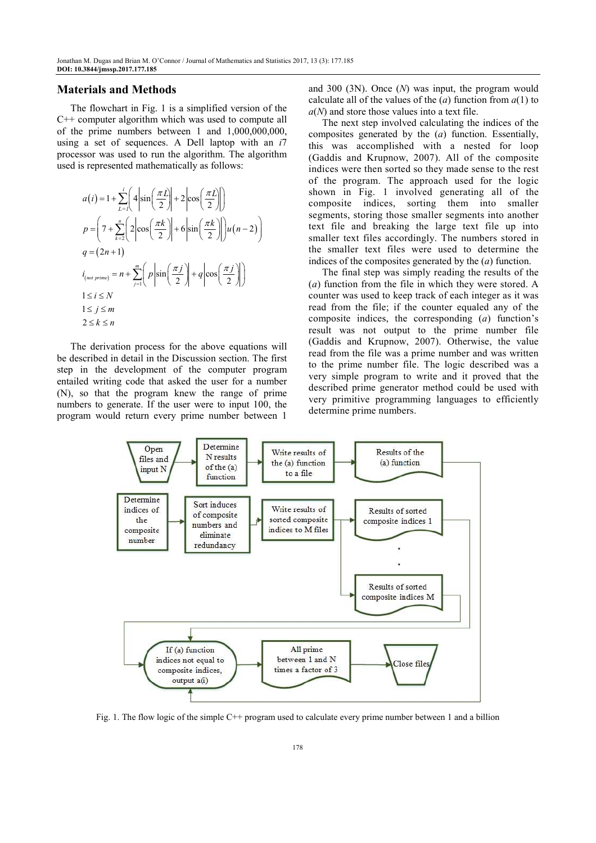## **Materials and Methods**

The flowchart in Fig. 1 is a simplified version of the C++ computer algorithm which was used to compute all of the prime numbers between 1 and  $1,000,000,000,$ using a set of sequences. A Dell laptop with an *i*7 processor was used to run the algorithm. The algorithm used is represented mathematically as follows:

$$
a(i) = 1 + \sum_{L=1}^{i} \left( 4 \left| \sin\left(\frac{\pi L}{2}\right) \right| + 2 \left| \cos\left(\frac{\pi L}{2}\right) \right| \right)
$$
  
\n
$$
p = \left( 7 + \sum_{k=2}^{n} \left( 2 \left| \cos\left(\frac{\pi k}{2}\right) \right| + 6 \left| \sin\left(\frac{\pi k}{2}\right) \right| \right) u(n-2) \right)
$$
  
\n
$$
q = (2n+1)
$$
  
\n
$$
i_{(not prime)} = n + \sum_{j=1}^{m} \left( p \left| \sin\left(\frac{\pi j}{2}\right) \right| + q \left| \cos\left(\frac{\pi j}{2}\right) \right| \right)
$$
  
\n
$$
1 \le i \le N
$$
  
\n
$$
1 \le j \le m
$$
  
\n
$$
2 \le k \le n
$$

The derivation process for the above equations will be described in detail in the Discussion section. The first step in the development of the computer program entailed writing code that asked the user for a number (N), so that the program knew the range of prime numbers to generate. If the user were to input 100, the program would return every prime number between 1 and 300 (3N). Once (*N*) was input, the program would calculate all of the values of the  $(a)$  function from  $a(1)$  to *a*(*N*) and store those values into a text file.

The next step involved calculating the indices of the composites generated by the (*a*) function. Essentially, this was accomplished with a nested for loop (Gaddis and Krupnow, 2007). All of the composite indices were then sorted so they made sense to the rest of the program. The approach used for the logic shown in Fig. 1 involved generating all of the composite indices, sorting them into smaller segments, storing those smaller segments into another text file and breaking the large text file up into smaller text files accordingly. The numbers stored in the smaller text files were used to determine the indices of the composites generated by the (*a*) function.

The final step was simply reading the results of the (*a*) function from the file in which they were stored. A counter was used to keep track of each integer as it was read from the file; if the counter equaled any of the composite indices, the corresponding (*a*) function's result was not output to the prime number file (Gaddis and Krupnow, 2007). Otherwise, the value read from the file was a prime number and was written to the prime number file. The logic described was a very simple program to write and it proved that the described prime generator method could be used with very primitive programming languages to efficiently determine prime numbers.



Fig. 1. The flow logic of the simple C++ program used to calculate every prime number between 1 and a billion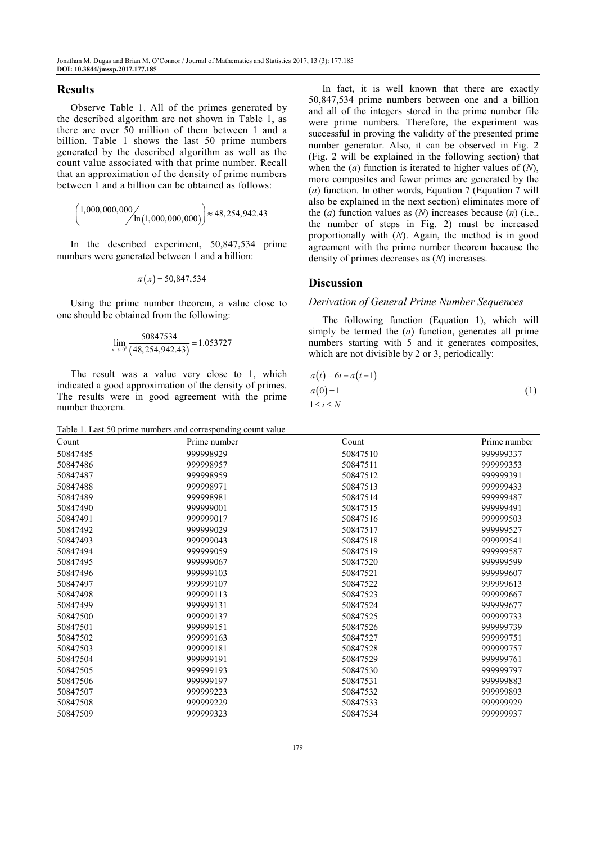#### **Results**

Observe Table 1. All of the primes generated by the described algorithm are not shown in Table 1, as there are over 50 million of them between 1 and a billion. Table 1 shows the last 50 prime numbers generated by the described algorithm as well as the count value associated with that prime number. Recall that an approximation of the density of prime numbers between 1 and a billion can be obtained as follows:

$$
\left(1,000,000,000/\\ln(1,000,000,000)\right) \approx 48,254,942.43
$$

In the described experiment, 50,847,534 prime numbers were generated between 1 and a billion:

$$
\pi(x) = 50,847,534
$$

Using the prime number theorem, a value close to one should be obtained from the following:

$$
\lim_{x \to 10^9} \frac{50847534}{(48,254,942.43)} = 1.053727
$$

The result was a value very close to 1, which indicated a good approximation of the density of primes. The results were in good agreement with the prime number theorem.

Table 1. Last 50 prime numbers and corresponding count value

In fact, it is well known that there are exactly 50,847,534 prime numbers between one and a billion and all of the integers stored in the prime number file were prime numbers. Therefore, the experiment was successful in proving the validity of the presented prime number generator. Also, it can be observed in Fig. 2 (Fig. 2 will be explained in the following section) that when the (*a*) function is iterated to higher values of (*N*), more composites and fewer primes are generated by the (*a*) function. In other words, Equation 7 (Equation 7 will also be explained in the next section) eliminates more of the (*a*) function values as (*N*) increases because (*n*) (i.e., the number of steps in Fig. 2) must be increased proportionally with (*N*). Again, the method is in good agreement with the prime number theorem because the density of primes decreases as (*N*) increases.

#### **Discussion**

#### *Derivation of General Prime Number Sequences*

The following function (Equation 1), which will simply be termed the (*a*) function, generates all prime numbers starting with 5 and it generates composites, which are not divisible by 2 or 3, periodically:

| $a(i) = 6i - a(i-1)$ |     |
|----------------------|-----|
| $a(0)=1$             | (1) |
| $1 \leq i \leq N$    |     |

| Count    | Prime number | Count    | Prime number |
|----------|--------------|----------|--------------|
| 50847485 | 999998929    | 50847510 | 999999337    |
| 50847486 | 999998957    | 50847511 | 999999353    |
| 50847487 | 999998959    | 50847512 | 999999391    |
| 50847488 | 999998971    | 50847513 | 999999433    |
| 50847489 | 999998981    | 50847514 | 999999487    |
| 50847490 | 999999001    | 50847515 | 999999491    |
| 50847491 | 999999017    | 50847516 | 999999503    |
| 50847492 | 999999029    | 50847517 | 999999527    |
| 50847493 | 999999043    | 50847518 | 999999541    |
| 50847494 | 999999059    | 50847519 | 999999587    |
| 50847495 | 999999067    | 50847520 | 999999599    |
| 50847496 | 999999103    | 50847521 | 999999607    |
| 50847497 | 999999107    | 50847522 | 999999613    |
| 50847498 | 999999113    | 50847523 | 999999667    |
| 50847499 | 999999131    | 50847524 | 999999677    |
| 50847500 | 999999137    | 50847525 | 999999733    |
| 50847501 | 999999151    | 50847526 | 999999739    |
| 50847502 | 999999163    | 50847527 | 999999751    |
| 50847503 | 999999181    | 50847528 | 999999757    |
| 50847504 | 999999191    | 50847529 | 999999761    |
| 50847505 | 999999193    | 50847530 | 999999797    |
| 50847506 | 999999197    | 50847531 | 999999883    |
| 50847507 | 999999223    | 50847532 | 999999893    |
| 50847508 | 999999229    | 50847533 | 999999929    |
| 50847509 | 999999323    | 50847534 | 999999937    |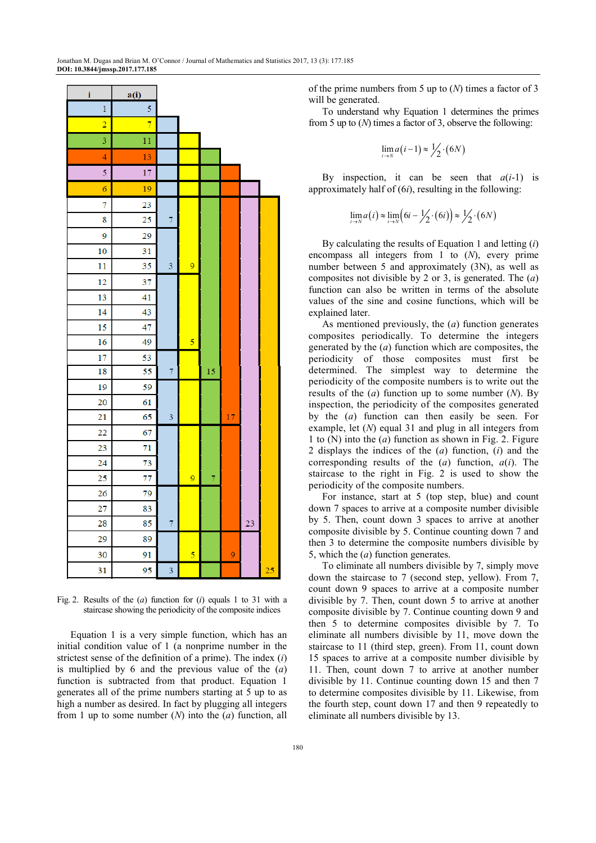| i              | a(i)           |                |                |    |    |    |    |
|----------------|----------------|----------------|----------------|----|----|----|----|
| $\mathbf{1}$   | 5              |                |                |    |    |    |    |
| $\overline{2}$ | $\overline{7}$ |                |                |    |    |    |    |
| 3              | 11             |                |                |    |    |    |    |
| 4              | 13             |                |                |    |    |    |    |
| 5              | 17             |                |                |    |    |    |    |
| $\overline{6}$ | 19             |                |                |    |    |    |    |
| 7              | 23             |                |                |    |    |    |    |
| 8              | 25             | $\overline{7}$ |                |    |    |    |    |
| 9              | 29             |                |                |    |    |    |    |
| 10             | 31             |                |                |    |    |    |    |
| 11             | 35             | 3              | 9              |    |    |    |    |
| 12             | 37             |                |                |    |    |    |    |
| 13             | 41             |                |                |    |    |    |    |
| 14             | 43             |                |                |    |    |    |    |
| 15             | 47             |                |                |    |    |    |    |
| 16             | 49             |                | 5              |    |    |    |    |
| 17             | 53             |                |                |    |    |    |    |
| 18             | 55             | $\overline{7}$ |                | 15 |    |    |    |
| 19             | 59             |                |                |    |    |    |    |
| 20             | 61             |                |                |    |    |    |    |
| 21             | 65             | 3              |                |    | 17 |    |    |
| 22             | 67             |                |                |    |    |    |    |
| 23             | 71             |                |                |    |    |    |    |
| 24             | 73             |                |                |    |    |    |    |
| 25             | 77             |                | $\overline{9}$ | 7  |    |    |    |
| 26             | 79             |                |                |    |    |    |    |
| 27             | 83             |                |                |    |    |    |    |
| 28             | 85             | 7              |                |    |    | 23 |    |
| 29             | 89             |                |                |    |    |    |    |
| 30             | 91             |                | 5              |    | 9  |    |    |
| 31             | 95             | 3              |                |    |    |    | 25 |

Fig. 2. Results of the (*a*) function for (*i*) equals 1 to 31 with a staircase showing the periodicity of the composite indices

Equation 1 is a very simple function, which has an initial condition value of 1 (a nonprime number in the strictest sense of the definition of a prime). The index (*i*) is multiplied by 6 and the previous value of the (*a*) function is subtracted from that product. Equation 1 generates all of the prime numbers starting at 5 up to as high a number as desired. In fact by plugging all integers from 1 up to some number (*N*) into the (*a*) function, all of the prime numbers from 5 up to (*N*) times a factor of 3 will be generated.

To understand why Equation 1 determines the primes from 5 up to (*N*) times a factor of 3, observe the following:

$$
\lim_{i \to N} a(i-1) \approx \frac{1}{2} \cdot (6N)
$$

By inspection, it can be seen that  $a(i-1)$  is approximately half of (6*i*), resulting in the following:

$$
\lim_{i \to N} a(i) \approx \lim_{i \to N} \left( 6i - \frac{1}{2} \cdot (6i) \right) \approx \frac{1}{2} \cdot (6N)
$$

By calculating the results of Equation 1 and letting (*i*) encompass all integers from 1 to (*N*), every prime number between 5 and approximately (3N), as well as composites not divisible by 2 or 3, is generated. The (*a*) function can also be written in terms of the absolute values of the sine and cosine functions, which will be explained later.

As mentioned previously, the (*a*) function generates composites periodically. To determine the integers generated by the (*a*) function which are composites, the periodicity of those composites must first be determined. The simplest way to determine the periodicity of the composite numbers is to write out the results of the (*a*) function up to some number (*N*). By inspection, the periodicity of the composites generated by the (*a*) function can then easily be seen. For example, let (*N*) equal 31 and plug in all integers from 1 to (N) into the (*a*) function as shown in Fig. 2. Figure 2 displays the indices of the (*a*) function, (*i*) and the corresponding results of the (*a*) function, *a*(*i*). The staircase to the right in Fig. 2 is used to show the periodicity of the composite numbers.

For instance, start at 5 (top step, blue) and count down 7 spaces to arrive at a composite number divisible by 5. Then, count down 3 spaces to arrive at another composite divisible by 5. Continue counting down 7 and then 3 to determine the composite numbers divisible by 5, which the (*a*) function generates.

To eliminate all numbers divisible by 7, simply move down the staircase to 7 (second step, yellow). From 7, count down 9 spaces to arrive at a composite number divisible by 7. Then, count down 5 to arrive at another composite divisible by 7. Continue counting down 9 and then 5 to determine composites divisible by 7. To eliminate all numbers divisible by 11, move down the staircase to 11 (third step, green). From 11, count down 15 spaces to arrive at a composite number divisible by 11. Then, count down 7 to arrive at another number divisible by 11. Continue counting down 15 and then 7 to determine composites divisible by 11. Likewise, from the fourth step, count down 17 and then 9 repeatedly to eliminate all numbers divisible by 13.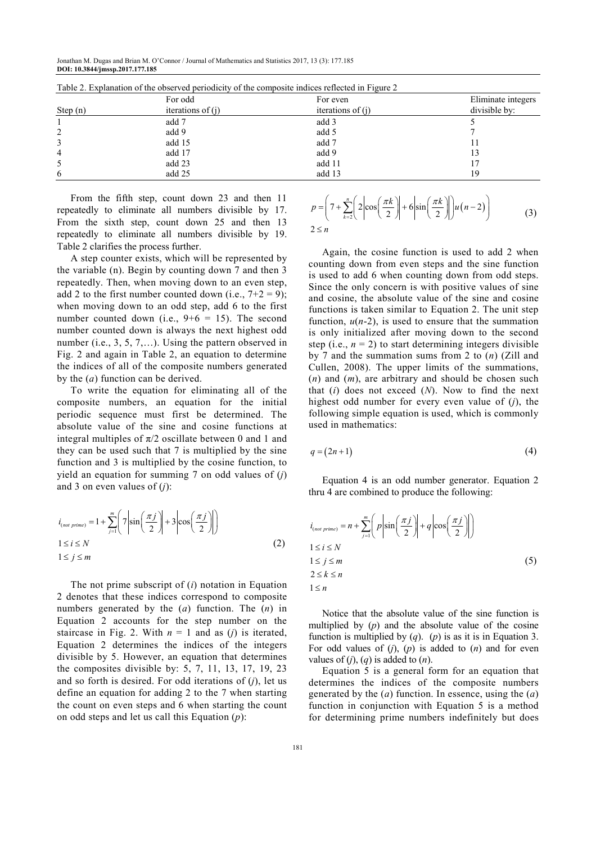Jonathan M. Dugas and Brian M. O'Connor / Journal of Mathematics and Statistics 2017, 13 (3): 177.185 **DOI: 10.3844/jmssp.2017.177.185** 

|          | For odd             | For even            | Eliminate integers |
|----------|---------------------|---------------------|--------------------|
| Step (n) | iterations of $(i)$ | iterations of $(i)$ | divisible by:      |
|          | add 7               | add 3               |                    |
| 2        | add 9               | add 5               |                    |
| 3        | add 15              | add 7               |                    |
| 4        | add 17              | add 9               | 13                 |
| 5        | add 23              | add 11              |                    |
| 6        | add 25              | add 13              | 19                 |

Table 2. Explanation of the observed periodicity of the composite indices reflected in Figure 2

From the fifth step, count down 23 and then 11 repeatedly to eliminate all numbers divisible by 17. From the sixth step, count down 25 and then 13 repeatedly to eliminate all numbers divisible by 19. Table 2 clarifies the process further.

A step counter exists, which will be represented by the variable (n). Begin by counting down 7 and then 3 repeatedly. Then, when moving down to an even step, add 2 to the first number counted down (i.e.,  $7+2 = 9$ ); when moving down to an odd step, add 6 to the first number counted down (i.e.,  $9+6 = 15$ ). The second number counted down is always the next highest odd number (i.e., 3, 5, 7,...). Using the pattern observed in Fig. 2 and again in Table 2, an equation to determine the indices of all of the composite numbers generated by the (*a*) function can be derived.

To write the equation for eliminating all of the composite numbers, an equation for the initial periodic sequence must first be determined. The absolute value of the sine and cosine functions at integral multiples of  $\pi/2$  oscillate between 0 and 1 and they can be used such that 7 is multiplied by the sine function and 3 is multiplied by the cosine function, to yield an equation for summing 7 on odd values of (*j*) and 3 on even values of (*j*):

$$
i_{(not prime)} = 1 + \sum_{j=1}^{m} \left( 7 \left| \sin \left( \frac{\pi j}{2} \right) \right| + 3 \left| \cos \left( \frac{\pi j}{2} \right) \right| \right)
$$
  
 
$$
1 \le i \le N
$$
  
 
$$
1 \le j \le m
$$
 (2)

The not prime subscript of (*i*) notation in Equation 2 denotes that these indices correspond to composite numbers generated by the (*a*) function. The (*n*) in Equation 2 accounts for the step number on the staircase in Fig. 2. With  $n = 1$  and as (*j*) is iterated, Equation 2 determines the indices of the integers divisible by 5. However, an equation that determines the composites divisible by: 5, 7, 11, 13, 17, 19, 23 and so forth is desired. For odd iterations of (*j*), let us define an equation for adding 2 to the 7 when starting the count on even steps and 6 when starting the count on odd steps and let us call this Equation (*p*):

$$
p = \left(7 + \sum_{k=2}^{n} \left(2 \left| \cos\left(\frac{\pi k}{2}\right) \right| + 6 \left| \sin\left(\frac{\pi k}{2}\right) \right| \right) u(n-2) \right)
$$
  
2 \le n \tag{3}

Again, the cosine function is used to add 2 when counting down from even steps and the sine function is used to add 6 when counting down from odd steps. Since the only concern is with positive values of sine and cosine, the absolute value of the sine and cosine functions is taken similar to Equation 2. The unit step function,  $u(n-2)$ , is used to ensure that the summation is only initialized after moving down to the second step (i.e.,  $n = 2$ ) to start determining integers divisible by 7 and the summation sums from 2 to (*n*) (Zill and Cullen, 2008). The upper limits of the summations, (*n*) and (*m*), are arbitrary and should be chosen such that (*i*) does not exceed (*N*). Now to find the next highest odd number for every even value of (*j*), the following simple equation is used, which is commonly used in mathematics:

$$
q = (2n+1) \tag{4}
$$

Equation 4 is an odd number generator. Equation 2 thru 4 are combined to produce the following:

$$
i_{(not prime)} = n + \sum_{j=1}^{m} \left( p \left| \sin \left( \frac{\pi j}{2} \right) \right| + q \left| \cos \left( \frac{\pi j}{2} \right) \right| \right)
$$
  
1 \le i \le N  
1 \le j \le m  
2 \le k \le n  
1 \le n  
(5)

Notice that the absolute value of the sine function is multiplied by  $(p)$  and the absolute value of the cosine function is multiplied by (*q*). (*p*) is as it is in Equation 3. For odd values of (*j*), (*p*) is added to (*n*) and for even values of  $(j)$ ,  $(q)$  is added to  $(n)$ .

Equation 5 is a general form for an equation that determines the indices of the composite numbers generated by the (*a*) function. In essence, using the (*a*) function in conjunction with Equation 5 is a method for determining prime numbers indefinitely but does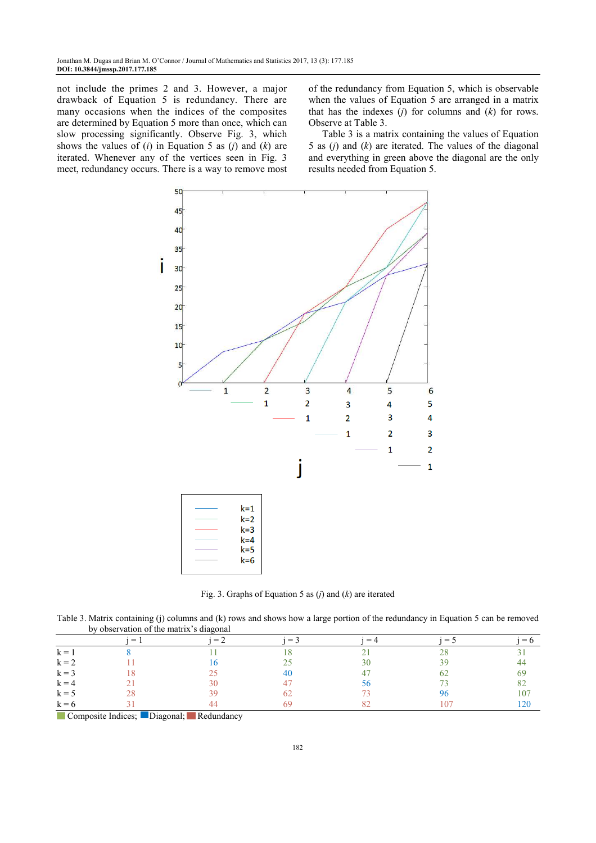not include the primes 2 and 3. However, a major drawback of Equation 5 is redundancy. There are many occasions when the indices of the composites are determined by Equation 5 more than once, which can slow processing significantly. Observe Fig. 3, which shows the values of (*i*) in Equation 5 as (*j*) and (*k*) are iterated. Whenever any of the vertices seen in Fig. 3 meet, redundancy occurs. There is a way to remove most

of the redundancy from Equation 5, which is observable when the values of Equation 5 are arranged in a matrix that has the indexes (*j*) for columns and (*k*) for rows. Observe at Table 3.

Table 3 is a matrix containing the values of Equation 5 as (*j*) and (*k*) are iterated. The values of the diagonal and everything in green above the diagonal are the only results needed from Equation 5.



Fig. 3. Graphs of Equation 5 as (*j*) and (*k*) are iterated

Table 3. Matrix containing (j) columns and (k) rows and shows how a large portion of the redundancy in Equation 5 can be removed by observation of the matrix's diagonal

|                                                            | $=$ | e i | $=$ $-$ | $=$ $\angle$ | ≔ ' | $= 6$ |
|------------------------------------------------------------|-----|-----|---------|--------------|-----|-------|
| $k = 1$                                                    |     |     |         |              |     |       |
| $k = 2$                                                    |     |     |         |              |     |       |
| $k = 3$                                                    |     |     |         |              |     |       |
| $k = 4$                                                    |     | 30  |         |              |     |       |
| $k = 5$                                                    |     | 30  |         |              |     | .07   |
| $k = 6$<br>the contract of the contract of the contract of |     |     |         |              |     |       |

Composite Indices; Diagonal; Redundancy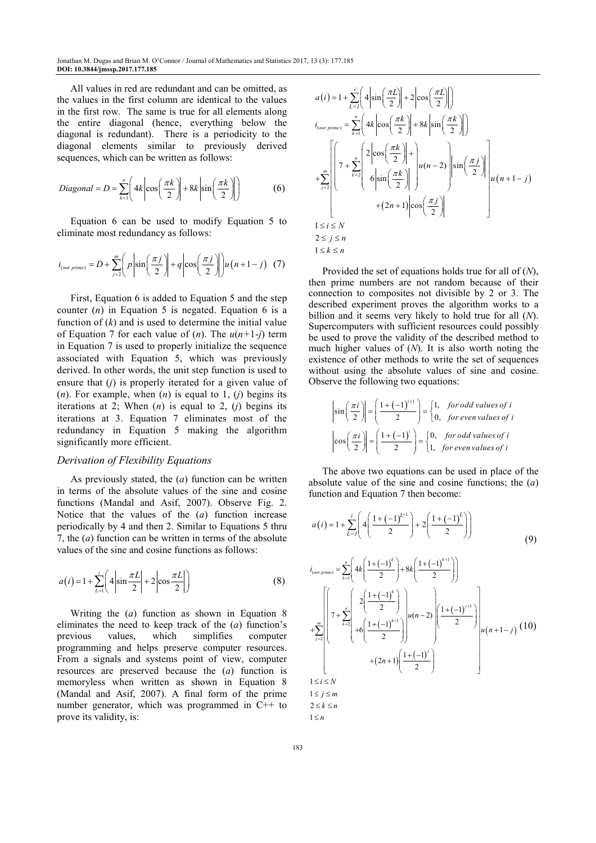Jonathan M. Dugas and Brian M. O'Connor / Journal of Mathematics and Statistics 2017, 13 (3): 177.185 **DOI: 10.3844/jmssp.2017.177.185** 

All values in red are redundant and can be omitted, as the values in the first column are identical to the values in the first row. The same is true for all elements along the entire diagonal (hence, everything below the diagonal is redundant). There is a periodicity to the diagonal elements similar to previously derived sequences, which can be written as follows:

$$
Diagonal = D = \sum_{k=1}^{n} \left( 4k \left| \cos\left(\frac{\pi k}{2}\right) \right| + 8k \left| \sin\left(\frac{\pi k}{2}\right) \right| \right) \tag{6}
$$

Equation 6 can be used to modify Equation 5 to eliminate most redundancy as follows:

$$
i_{(not\ prime)} = D + \sum_{j=2}^{m} \left( p \left| \sin \left( \frac{\pi j}{2} \right) \right| + q \left| \cos \left( \frac{\pi j}{2} \right) \right| \right) u \left( n+1-j \right) (7)
$$

First, Equation 6 is added to Equation 5 and the step counter (*n*) in Equation 5 is negated. Equation 6 is a function of  $(k)$  and is used to determine the initial value of Equation 7 for each value of (*n*). The *u*(*n+*1-*j*) term in Equation 7 is used to properly initialize the sequence associated with Equation 5, which was previously derived. In other words, the unit step function is used to ensure that (*j*) is properly iterated for a given value of (*n*). For example, when (*n*) is equal to 1, (*j*) begins its iterations at 2; When (*n*) is equal to 2, (*j*) begins its iterations at 3. Equation 7 eliminates most of the redundancy in Equation 5 making the algorithm significantly more efficient.

#### *Derivation of Flexibility Equations*

As previously stated, the (*a*) function can be written in terms of the absolute values of the sine and cosine functions (Mandal and Asif, 2007). Observe Fig. 2. Notice that the values of the (*a*) function increase periodically by 4 and then 2. Similar to Equations 5 thru 7, the (*a*) function can be written in terms of the absolute values of the sine and cosine functions as follows:

$$
a(i) = 1 + \sum_{L=1}^{i} \left( 4 \left| \sin \frac{\pi L}{2} \right| + 2 \left| \cos \frac{\pi L}{2} \right| \right) \tag{8}
$$

Writing the (*a*) function as shown in Equation 8 eliminates the need to keep track of the (*a*) function's previous values, which simplifies computer programming and helps preserve computer resources. From a signals and systems point of view, computer resources are preserved because the (*a*) function is memoryless when written as shown in Equation 8 (Mandal and Asif, 2007). A final form of the prime number generator, which was programmed in C++ to prove its validity, is:

$$
a(i) = 1 + \sum_{L=1}^{i} \left( 4 \left| \sin\left(\frac{\pi L}{2}\right) \right| + 2 \left| \cos\left(\frac{\pi L}{2}\right) \right| \right)
$$
  
\n
$$
i_{(not prime)} = \sum_{k=1}^{n} \left( 4k \left| \cos\left(\frac{\pi k}{2}\right) \right| + 8k \left| \sin\left(\frac{\pi k}{2}\right) \right| \right)
$$
  
\n
$$
+ \sum_{j=2}^{m} \left[ 7 + \sum_{k=2}^{n} \left( 2 \left| \cos\left(\frac{\pi k}{2}\right) \right| + \right] u(n-2) \left| \sin\left(\frac{\pi j}{2}\right) \right| \right]
$$
  
\n
$$
+ \sum_{j=2}^{m} \left[ 7 + \sum_{k=2}^{n} \left( 2 \left| \cos\left(\frac{\pi k}{2}\right) \right| + \right] u(n-2) \left| \sin\left(\frac{\pi j}{2}\right) \right| \right]
$$
  
\n
$$
+ (2n+1) \left| \cos\left(\frac{\pi j}{2}\right) \right|
$$
  
\n
$$
1 \leq i \leq N
$$
  
\n
$$
2 \leq j \leq n
$$
  
\n
$$
1 \leq k \leq n
$$

Provided the set of equations holds true for all of (*N*), then prime numbers are not random because of their connection to composites not divisible by 2 or 3. The described experiment proves the algorithm works to a billion and it seems very likely to hold true for all (*N*). Supercomputers with sufficient resources could possibly be used to prove the validity of the described method to much higher values of (*N*). It is also worth noting the existence of other methods to write the set of sequences without using the absolute values of sine and cosine. Observe the following two equations:

$$
\begin{vmatrix} \sin\left(\frac{\pi i}{2}\right) \end{vmatrix} = \left(\frac{1 + (-1)^{i+1}}{2}\right) = \begin{cases} 1, & \text{for odd values of } i \\ 0, & \text{for even values of } i \end{cases}
$$

$$
\begin{vmatrix} \cos\left(\frac{\pi i}{2}\right) \end{vmatrix} = \left(\frac{1 + (-1)^i}{2}\right) = \begin{cases} 0, & \text{for odd values of } i \\ 1, & \text{for even values of } i \end{cases}
$$

The above two equations can be used in place of the absolute value of the sine and cosine functions; the (*a*) function and Equation 7 then become:

$$
a(i) = 1 + \sum_{L=1}^{i} \left( 4\left( \frac{1 + (-1)^{L+1}}{2} \right) + 2\left( \frac{1 + (-1)^{L}}{2} \right) \right)
$$
\n
$$
i_{(not prime)} = \sum_{k=1}^{n} \left( 4k \left( \frac{1 + (-1)^{k}}{2} \right) + 8k \left( \frac{1 + (-1)^{k+1}}{2} \right) \right)
$$
\n
$$
\left[ \left( \prod_{n=1}^{n} 2\left( \frac{1 + (-1)^{k}}{2} \right) \right) \right] \left( \prod_{n=1}^{n} (-1)^{i+1} \right) \right]
$$

$$
+\sum_{j=2}^{n} \left\lfloor \left(7+\sum_{k=2}^{n} \left\lfloor \left(4+\left(-1\right)^{k+1}\right\lfloor 2\right) \left\lfloor \left(4n-2\right)\left\lfloor \frac{1+(-1)^{j+1}}{2}\right\rfloor \right\rfloor u(n-2)\right\rfloor u(n+1-j) \cdot (10) + (2n+1)\left(\frac{1+(-1)^{j}}{2}\right)
$$
\n
$$
1 \leq i \leq N
$$
\n
$$
1 \leq j \leq m
$$
\n
$$
2 \leq k \leq n
$$

$$
2 \leq n
$$
  

$$
1 \leq n
$$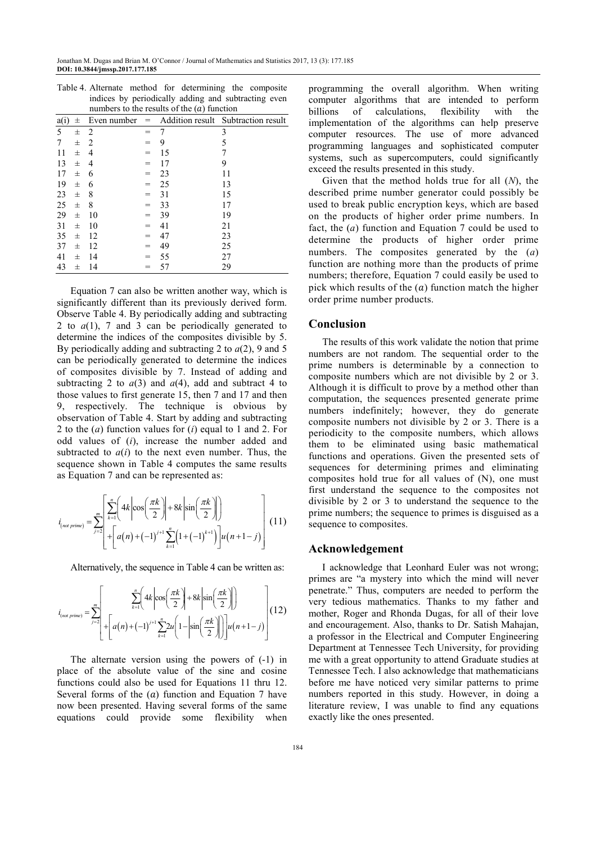| indices by periodically adding and subtracting even<br>numbers to the results of the $(a)$ function |          |    |     |    |                                                    |  |  |
|-----------------------------------------------------------------------------------------------------|----------|----|-----|----|----------------------------------------------------|--|--|
| a(i)                                                                                                | 士        |    |     |    | Even number $=$ Addition result Subtraction result |  |  |
| 5                                                                                                   | $_{\pm}$ | 2  |     | 7  | 3                                                  |  |  |
| 7                                                                                                   | 士        | 2  |     | 9  | 5                                                  |  |  |
| 11                                                                                                  | 士        | 4  |     | 15 | 7                                                  |  |  |
| 13                                                                                                  | 士        | 4  |     | 17 | 9                                                  |  |  |
| 17                                                                                                  | 士        | 6  |     | 23 | 11                                                 |  |  |
| 19                                                                                                  | 士        | 6  |     | 25 | 13                                                 |  |  |
| 23                                                                                                  | 士        | 8  |     | 31 | 15                                                 |  |  |
| 25                                                                                                  | $_{\pm}$ | 8  |     | 33 | 17                                                 |  |  |
| 29                                                                                                  | $_{\pm}$ | 10 |     | 39 | 19                                                 |  |  |
| 31                                                                                                  | 士        | 10 |     | 41 | 21                                                 |  |  |
| 35                                                                                                  | 士        | 12 | $=$ | 47 | 23                                                 |  |  |
| 37                                                                                                  | 士        | 12 |     | 49 | 25                                                 |  |  |
| 41                                                                                                  | 士        | 14 |     | 55 | 27                                                 |  |  |
| 43                                                                                                  | 士        | 14 |     | 57 | 29                                                 |  |  |

Table 4. Alternate method for determining the composite

Equation 7 can also be written another way, which is significantly different than its previously derived form. Observe Table 4. By periodically adding and subtracting 2 to  $a(1)$ , 7 and 3 can be periodically generated to determine the indices of the composites divisible by 5. By periodically adding and subtracting 2 to *a*(2), 9 and 5 can be periodically generated to determine the indices of composites divisible by 7. Instead of adding and subtracting 2 to  $a(3)$  and  $a(4)$ , add and subtract 4 to those values to first generate 15, then 7 and 17 and then 9, respectively. The technique is obvious by observation of Table 4. Start by adding and subtracting 2 to the (*a*) function values for (*i*) equal to 1 and 2. For odd values of (*i*), increase the number added and subtracted to  $a(i)$  to the next even number. Thus, the sequence shown in Table 4 computes the same results as Equation 7 and can be represented as:

$$
i_{(not\ prime)} = \sum_{j=2}^{m} \left[ \sum_{k=1}^{n} \left( 4k \left| \cos\left(\frac{\pi k}{2}\right) \right| + 8k \left| \sin\left(\frac{\pi k}{2}\right) \right| \right) + \left[ a(n) + (-1)^{j+1} \sum_{k=1}^{n} \left( 1 + (-1)^{k+1} \right) \right] u(n+1-j) \right] (11)
$$

Alternatively, the sequence in Table 4 can be written as:

$$
i_{\text{(not prime)}} = \sum_{j=2}^{m} \left[ \frac{\sum_{k=1}^{n} \left( 4k \left| \cos\left(\frac{\pi k}{2}\right) \right| + 8k \left| \sin\left(\frac{\pi k}{2}\right) \right| \right)}{\left[ 4\left( n \right) + \left( -1 \right)^{j+1} \sum_{k=1}^{n} 2u \left( 1 - \left| \sin\left(\frac{\pi k}{2}\right) \right| \right) \right] u \left( n+1-j \right) \right] (12)
$$

The alternate version using the powers of (-1) in place of the absolute value of the sine and cosine functions could also be used for Equations 11 thru 12. Several forms of the  $(a)$  function and Equation 7 have now been presented. Having several forms of the same equations could provide some flexibility when programming the overall algorithm. When writing computer algorithms that are intended to perform billions of calculations, flexibility with the implementation of the algorithms can help preserve computer resources. The use of more advanced programming languages and sophisticated computer systems, such as supercomputers, could significantly exceed the results presented in this study.

Given that the method holds true for all (*N*), the described prime number generator could possibly be used to break public encryption keys, which are based on the products of higher order prime numbers. In fact, the (*a*) function and Equation 7 could be used to determine the products of higher order prime numbers. The composites generated by the (*a*) function are nothing more than the products of prime numbers; therefore, Equation 7 could easily be used to pick which results of the  $(a)$  function match the higher order prime number products.

# **Conclusion**

The results of this work validate the notion that prime numbers are not random. The sequential order to the prime numbers is determinable by a connection to composite numbers which are not divisible by 2 or 3. Although it is difficult to prove by a method other than computation, the sequences presented generate prime numbers indefinitely; however, they do generate composite numbers not divisible by 2 or 3. There is a periodicity to the composite numbers, which allows them to be eliminated using basic mathematical functions and operations. Given the presented sets of sequences for determining primes and eliminating composites hold true for all values of (N), one must first understand the sequence to the composites not divisible by 2 or 3 to understand the sequence to the prime numbers; the sequence to primes is disguised as a sequence to composites.

### **Acknowledgement**

I acknowledge that Leonhard Euler was not wrong; primes are "a mystery into which the mind will never penetrate." Thus, computers are needed to perform the very tedious mathematics. Thanks to my father and mother, Roger and Rhonda Dugas, for all of their love and encouragement. Also, thanks to Dr. Satish Mahajan, a professor in the Electrical and Computer Engineering Department at Tennessee Tech University, for providing me with a great opportunity to attend Graduate studies at Tennessee Tech. I also acknowledge that mathematicians before me have noticed very similar patterns to prime numbers reported in this study. However, in doing a literature review, I was unable to find any equations exactly like the ones presented.